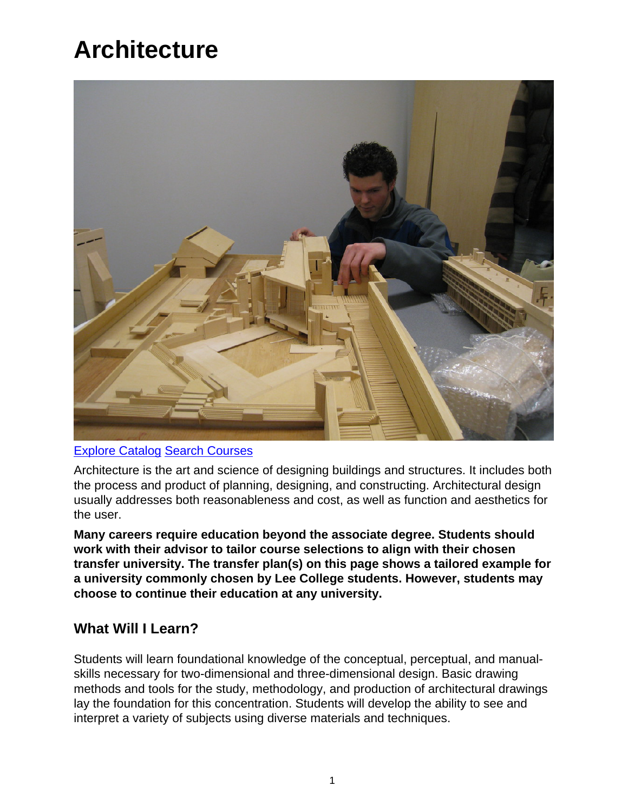# **Architecture**



#### [Explore Catalog](http://catalog.lee.edu/search_advanced.php?cur_cat_oid=27&ecpage=1&cpage=1&ppage=1&pcpage=1&spage=1&tpage=1&search_database=Search&filter%5Bkeyword%5D=%22Creative+Arts%22&filter%5B31%5D=1&filter%5B1%5D=1) [Search Courses](https://www.lee.edu/go/class-schedule/index.php)

Architecture is the art and science of designing buildings and structures. It includes both the process and product of planning, designing, and constructing. Architectural design usually addresses both reasonableness and cost, as well as function and aesthetics for the user.

**Many careers require education beyond the associate degree. Students should work with their advisor to tailor course selections to align with their chosen transfer university. The transfer plan(s) on this page shows a tailored example for a university commonly chosen by Lee College students. However, students may choose to continue their education at any university.**

#### **What Will I Learn?**

Students will learn foundational knowledge of the conceptual, perceptual, and manualskills necessary for two-dimensional and three-dimensional design. Basic drawing methods and tools for the study, methodology, and production of architectural drawings lay the foundation for this concentration. Students will develop the ability to see and interpret a variety of subjects using diverse materials and techniques.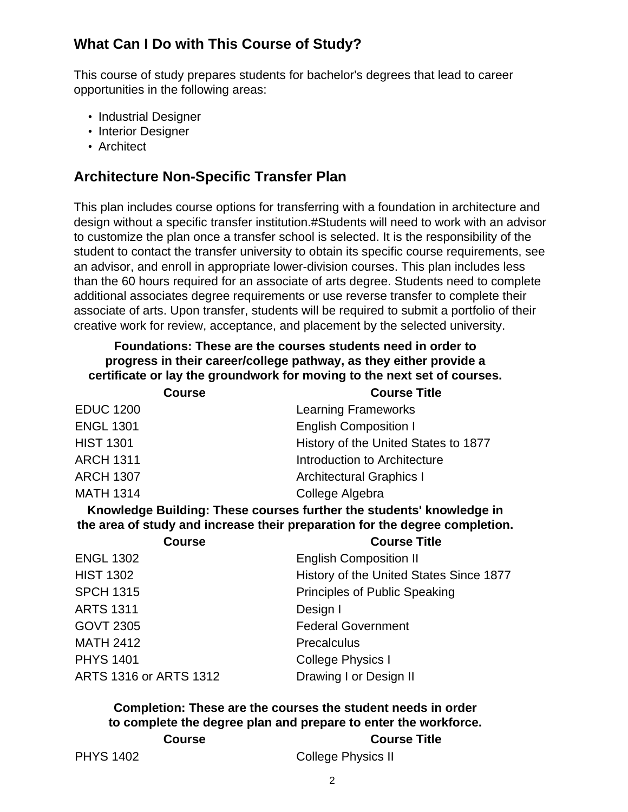## **What Can I Do with This Course of Study?**

This course of study prepares students for bachelor's degrees that lead to career opportunities in the following areas:

- Industrial Designer
- Interior Designer
- Architect

## **Architecture Non-Specific Transfer Plan**

This plan includes course options for transferring with a foundation in architecture and design without a specific transfer institution.#Students will need to work with an advisor to customize the plan once a transfer school is selected. It is the responsibility of the student to contact the transfer university to obtain its specific course requirements, see an advisor, and enroll in appropriate lower-division courses. This plan includes less than the 60 hours required for an associate of arts degree. Students need to complete additional associates degree requirements or use reverse transfer to complete their associate of arts. Upon transfer, students will be required to submit a portfolio of their creative work for review, acceptance, and placement by the selected university.

| Foundations: These are the courses students need in order to<br>progress in their career/college pathway, as they either provide a<br>certificate or lay the groundwork for moving to the next set of courses. |                                      |  |
|----------------------------------------------------------------------------------------------------------------------------------------------------------------------------------------------------------------|--------------------------------------|--|
| <b>Course</b>                                                                                                                                                                                                  | <b>Course Title</b>                  |  |
| <b>EDUC 1200</b>                                                                                                                                                                                               | <b>Learning Frameworks</b>           |  |
| <b>ENGL 1301</b>                                                                                                                                                                                               | <b>English Composition I</b>         |  |
| <b>HIST 1301</b>                                                                                                                                                                                               | History of the United States to 1877 |  |
| <b>ARCH 1311</b>                                                                                                                                                                                               | Introduction to Architecture         |  |
| <b>ARCH 1307</b>                                                                                                                                                                                               | <b>Architectural Graphics I</b>      |  |
| <b>MATH 1314</b>                                                                                                                                                                                               | College Algebra                      |  |
| Knowledge Building: These courses further the students' knowledge in<br>the area of study and increase their preparation for the degree completion.                                                            |                                      |  |

| <b>Course Title</b>                     |
|-----------------------------------------|
| <b>English Composition II</b>           |
| History of the United States Since 1877 |
| <b>Principles of Public Speaking</b>    |
| Design I                                |
| <b>Federal Government</b>               |
| Precalculus                             |
| <b>College Physics I</b>                |
| Drawing I or Design II                  |
|                                         |

#### **Completion: These are the courses the student needs in order to complete the degree plan and prepare to enter the workforce.**

|                  | <b>Course</b> |  |
|------------------|---------------|--|
| <b>PHYS 1402</b> |               |  |

College Physics II

**Course Course Title**